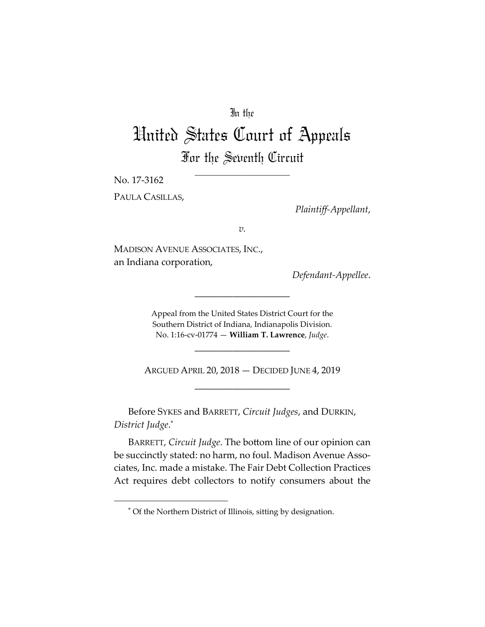## In the

# United States Court of Appeals For the Seventh Circuit

No. 17‐3162

 $\overline{a}$ 

PAULA CASILLAS,

*Plaintiff‐Appellant*,

*v.*

MADISON AVENUE ASSOCIATES, INC., an Indiana corporation,

*Defendant‐Appellee*.

Appeal from the United States District Court for the Southern District of Indiana, Indianapolis Division. No. 1:16‐cv‐01774 — **William T. Lawrence**, *Judge*.

\_\_\_\_\_\_\_\_\_\_\_\_\_\_\_\_\_\_\_\_

ARGUED APRIL 20, 2018 — DECIDED JUNE 4, 2019 \_\_\_\_\_\_\_\_\_\_\_\_\_\_\_\_\_\_\_\_

\_\_\_\_\_\_\_\_\_\_\_\_\_\_\_\_\_\_\_\_

Before SYKES and BARRETT, *Circuit Judges*, and DURKIN, *District Judge*. \*

BARRETT, *Circuit Judge*. The bottom line of our opinion can be succinctly stated: no harm, no foul. Madison Avenue Associates, Inc. made a mistake. The Fair Debt Collection Practices Act requires debt collectors to notify consumers about the

<sup>\*</sup> Of the Northern District of Illinois, sitting by designation.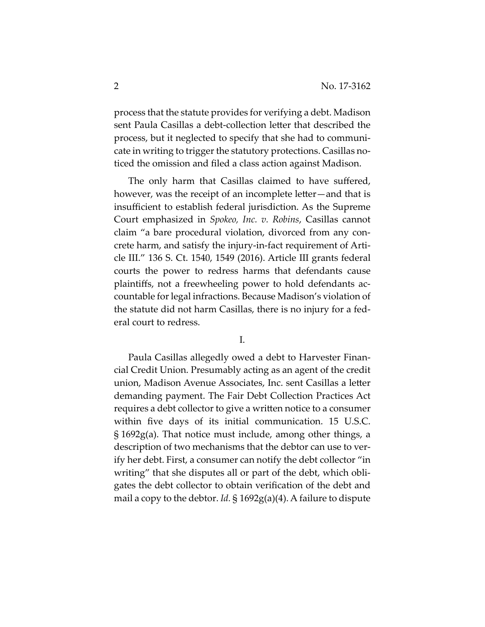process that the statute provides for verifying a debt. Madison sent Paula Casillas a debt‐collection letter that described the process, but it neglected to specify that she had to communi‐ cate in writing to trigger the statutory protections. Casillas noticed the omission and filed a class action against Madison.

The only harm that Casillas claimed to have suffered, however, was the receipt of an incomplete letter—and that is insufficient to establish federal jurisdiction. As the Supreme Court emphasized in *Spokeo, Inc. v. Robins*, Casillas cannot claim "a bare procedural violation, divorced from any con‐ crete harm, and satisfy the injury‐in‐fact requirement of Arti‐ cle III." 136 S. Ct. 1540, 1549 (2016). Article III grants federal courts the power to redress harms that defendants cause plaintiffs, not a freewheeling power to hold defendants ac‐ countable for legal infractions. Because Madison's violation of the statute did not harm Casillas, there is no injury for a fed‐ eral court to redress.

I.

Paula Casillas allegedly owed a debt to Harvester Finan‐ cial Credit Union. Presumably acting as an agent of the credit union, Madison Avenue Associates, Inc. sent Casillas a letter demanding payment. The Fair Debt Collection Practices Act requires a debt collector to give a written notice to a consumer within five days of its initial communication. 15 U.S.C. § 1692g(a). That notice must include, among other things, a description of two mechanisms that the debtor can use to ver‐ ify her debt. First, a consumer can notify the debt collector "in writing" that she disputes all or part of the debt, which obligates the debt collector to obtain verification of the debt and mail a copy to the debtor. *Id.* § 1692g(a)(4). A failure to dispute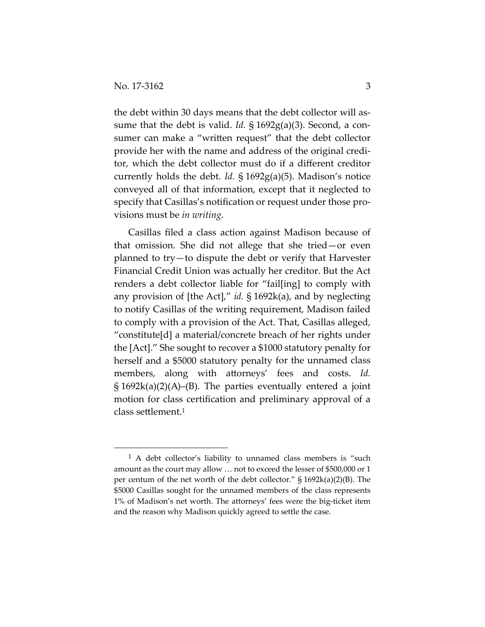$\overline{a}$ 

the debt within 30 days means that the debt collector will as‐ sume that the debt is valid. *Id.* § 1692g(a)(3). Second, a con‐ sumer can make a "written request" that the debt collector provide her with the name and address of the original credi‐ tor, which the debt collector must do if a different creditor currently holds the debt. *Id.* § 1692g(a)(5). Madison's notice conveyed all of that information, except that it neglected to specify that Casillas's notification or request under those pro‐ visions must be *in writing*.

Casillas filed a class action against Madison because of that omission. She did not allege that she tried—or even planned to try—to dispute the debt or verify that Harvester Financial Credit Union was actually her creditor. But the Act renders a debt collector liable for "fail[ing] to comply with any provision of [the Act]," *id.* § 1692k(a), and by neglecting to notify Casillas of the writing requirement, Madison failed to comply with a provision of the Act. That, Casillas alleged, "constitute[d] a material/concrete breach of her rights under the [Act]." She sought to recover a \$1000 statutory penalty for herself and a \$5000 statutory penalty for the unnamed class members, along with attorneys' fees and costs. *Id.*  $\S 1692k(a)(2)(A)$ –(B). The parties eventually entered a joint motion for class certification and preliminary approval of a class settlement.1

<sup>1</sup> A debt collector's liability to unnamed class members is "such amount as the court may allow … not to exceed the lesser of \$500,000 or 1 per centum of the net worth of the debt collector." § 1692k(a)(2)(B). The \$5000 Casillas sought for the unnamed members of the class represents 1% of Madison's net worth. The attorneys' fees were the big‐ticket item and the reason why Madison quickly agreed to settle the case.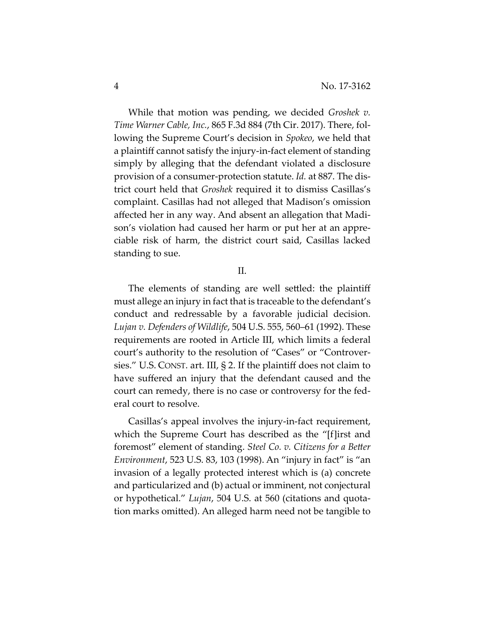While that motion was pending, we decided *Groshek v. Time Warner Cable, Inc.*, 865 F.3d 884 (7th Cir. 2017). There, fol‐ lowing the Supreme Court's decision in *Spokeo*, we held that a plaintiff cannot satisfy the injury‐in‐fact element of standing simply by alleging that the defendant violated a disclosure provision of a consumer‐protection statute. *Id.* at 887. The dis‐ trict court held that *Groshek* required it to dismiss Casillas's complaint. Casillas had not alleged that Madison's omission affected her in any way. And absent an allegation that Madi‐ son's violation had caused her harm or put her at an appre‐ ciable risk of harm, the district court said, Casillas lacked standing to sue.

#### II.

The elements of standing are well settled: the plaintiff must allege an injury in fact that is traceable to the defendant's conduct and redressable by a favorable judicial decision. *Lujan v. Defenders of Wildlife*, 504 U.S. 555, 560–61 (1992). These requirements are rooted in Article III, which limits a federal court's authority to the resolution of "Cases" or "Controver‐ sies." U.S. CONST. art. III, § 2. If the plaintiff does not claim to have suffered an injury that the defendant caused and the court can remedy, there is no case or controversy for the fed‐ eral court to resolve.

Casillas's appeal involves the injury‐in‐fact requirement, which the Supreme Court has described as the "[f]irst and foremost" element of standing. *Steel Co. v. Citizens for a Better Environment*, 523 U.S. 83, 103 (1998). An "injury in fact" is "an invasion of a legally protected interest which is (a) concrete and particularized and (b) actual or imminent, not conjectural or hypothetical." *Lujan*, 504 U.S. at 560 (citations and quota‐ tion marks omitted). An alleged harm need not be tangible to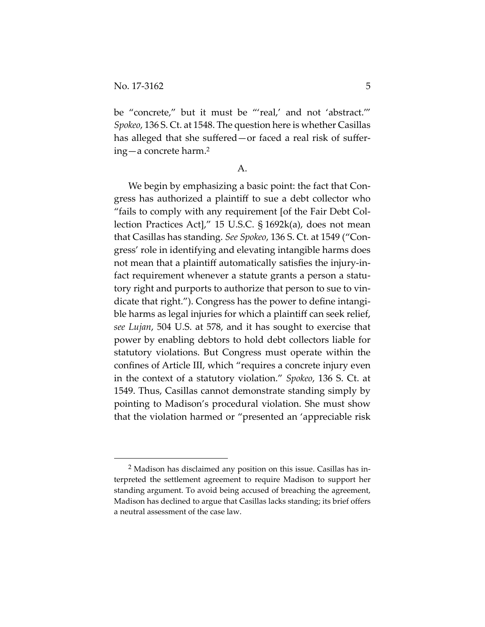$\overline{a}$ 

be "concrete," but it must be "'real,' and not 'abstract.'" *Spokeo*, 136 S. Ct. at 1548. The question here is whether Casillas has alleged that she suffered—or faced a real risk of suffering—a concrete harm.2

A.

We begin by emphasizing a basic point: the fact that Congress has authorized a plaintiff to sue a debt collector who "fails to comply with any requirement [of the Fair Debt Col‐ lection Practices Act]," 15 U.S.C. § 1692k(a), does not mean that Casillas has standing. *See Spokeo*, 136 S. Ct. at 1549 ("Con‐ gress' role in identifying and elevating intangible harms does not mean that a plaintiff automatically satisfies the injury‐in‐ fact requirement whenever a statute grants a person a statutory right and purports to authorize that person to sue to vin‐ dicate that right."). Congress has the power to define intangi‐ ble harms as legal injuries for which a plaintiff can seek relief, *see Lujan*, 504 U.S. at 578, and it has sought to exercise that power by enabling debtors to hold debt collectors liable for statutory violations. But Congress must operate within the confines of Article III, which "requires a concrete injury even in the context of a statutory violation." *Spokeo*, 136 S. Ct. at 1549. Thus, Casillas cannot demonstrate standing simply by pointing to Madison's procedural violation. She must show that the violation harmed or "presented an 'appreciable risk

<sup>2</sup> Madison has disclaimed any position on this issue. Casillas has in‐ terpreted the settlement agreement to require Madison to support her standing argument. To avoid being accused of breaching the agreement, Madison has declined to argue that Casillas lacks standing; its brief offers a neutral assessment of the case law.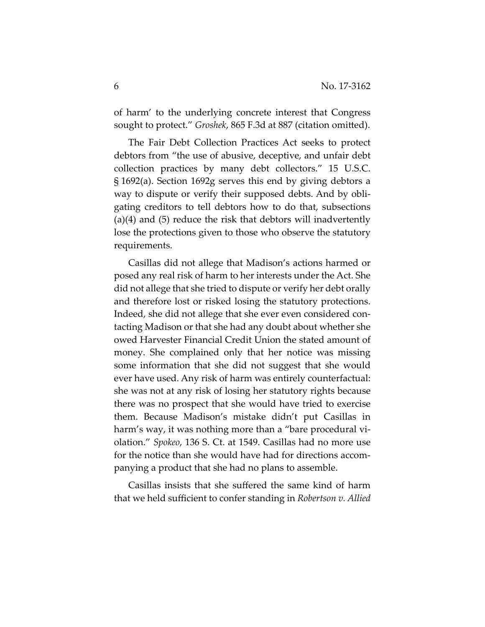of harm' to the underlying concrete interest that Congress sought to protect." *Groshek*, 865 F.3d at 887 (citation omitted).

The Fair Debt Collection Practices Act seeks to protect debtors from "the use of abusive, deceptive, and unfair debt collection practices by many debt collectors." 15 U.S.C. § 1692(a). Section 1692g serves this end by giving debtors a way to dispute or verify their supposed debts. And by obli‐ gating creditors to tell debtors how to do that, subsections (a)(4) and (5) reduce the risk that debtors will inadvertently lose the protections given to those who observe the statutory requirements.

Casillas did not allege that Madison's actions harmed or posed any real risk of harm to her interests under the Act. She did not allege that she tried to dispute or verify her debt orally and therefore lost or risked losing the statutory protections. Indeed, she did not allege that she ever even considered contacting Madison or that she had any doubt about whether she owed Harvester Financial Credit Union the stated amount of money. She complained only that her notice was missing some information that she did not suggest that she would ever have used. Any risk of harm was entirely counterfactual: she was not at any risk of losing her statutory rights because there was no prospect that she would have tried to exercise them. Because Madison's mistake didn't put Casillas in harm's way, it was nothing more than a "bare procedural violation." *Spokeo*, 136 S. Ct. at 1549. Casillas had no more use for the notice than she would have had for directions accom‐ panying a product that she had no plans to assemble.

Casillas insists that she suffered the same kind of harm that we held sufficient to confer standing in *Robertson v. Allied*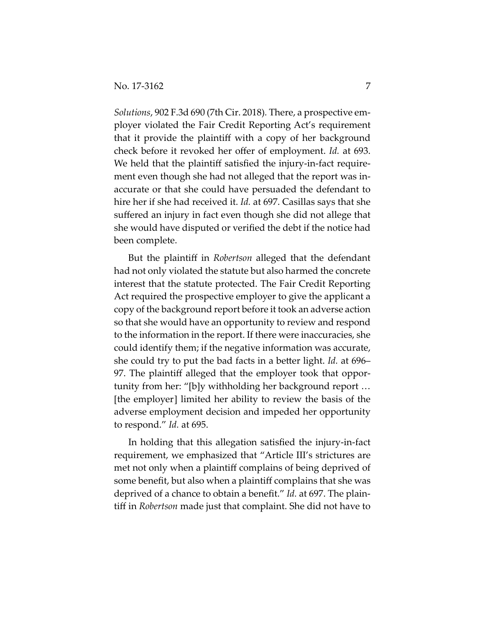*Solutions*, 902 F.3d 690 (7th Cir. 2018)*.* There, a prospective em‐ ployer violated the Fair Credit Reporting Act's requirement that it provide the plaintiff with a copy of her background check before it revoked her offer of employment. *Id.* at 693. We held that the plaintiff satisfied the injury‐in‐fact require‐ ment even though she had not alleged that the report was in‐ accurate or that she could have persuaded the defendant to hire her if she had received it. *Id.* at 697. Casillas says that she suffered an injury in fact even though she did not allege that she would have disputed or verified the debt if the notice had been complete.

But the plaintiff in *Robertson* alleged that the defendant had not only violated the statute but also harmed the concrete interest that the statute protected. The Fair Credit Reporting Act required the prospective employer to give the applicant a copy of the background report before it took an adverse action so that she would have an opportunity to review and respond to the information in the report. If there were inaccuracies, she could identify them; if the negative information was accurate, she could try to put the bad facts in a better light. *Id.* at 696– 97. The plaintiff alleged that the employer took that opportunity from her: "[b]y withholding her background report … [the employer] limited her ability to review the basis of the adverse employment decision and impeded her opportunity to respond." *Id.* at 695.

In holding that this allegation satisfied the injury‐in‐fact requirement, we emphasized that "Article III's strictures are met not only when a plaintiff complains of being deprived of some benefit, but also when a plaintiff complains that she was deprived of a chance to obtain a benefit." *Id.* at 697. The plain‐ tiff in *Robertson* made just that complaint. She did not have to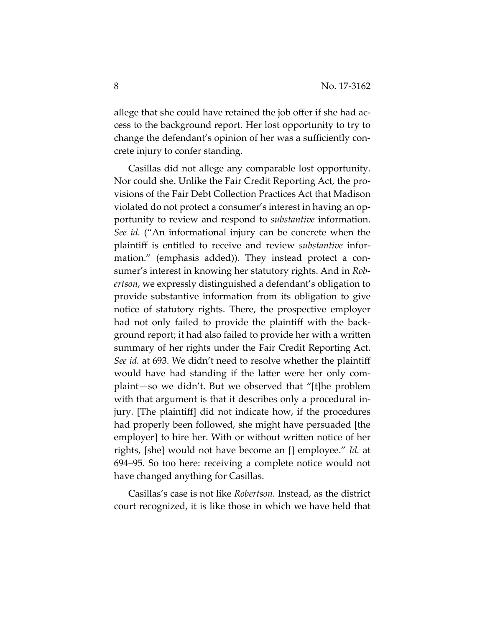allege that she could have retained the job offer if she had ac‐ cess to the background report. Her lost opportunity to try to change the defendant's opinion of her was a sufficiently con‐ crete injury to confer standing.

Casillas did not allege any comparable lost opportunity. Nor could she. Unlike the Fair Credit Reporting Act, the pro‐ visions of the Fair Debt Collection Practices Act that Madison violated do not protect a consumer's interest in having an op‐ portunity to review and respond to *substantive* information. *See id.* ("An informational injury can be concrete when the plaintiff is entitled to receive and review *substantive* infor‐ mation." (emphasis added)). They instead protect a consumer's interest in knowing her statutory rights. And in *Rob‐ ertson*, we expressly distinguished a defendant's obligation to provide substantive information from its obligation to give notice of statutory rights. There, the prospective employer had not only failed to provide the plaintiff with the back– ground report; it had also failed to provide her with a written summary of her rights under the Fair Credit Reporting Act. *See id.* at 693. We didn't need to resolve whether the plaintiff would have had standing if the latter were her only com‐ plaint—so we didn't. But we observed that "[t]he problem with that argument is that it describes only a procedural injury. [The plaintiff] did not indicate how, if the procedures had properly been followed, she might have persuaded [the employer] to hire her. With or without written notice of her rights, [she] would not have become an [] employee." *Id.* at 694–95. So too here: receiving a complete notice would not have changed anything for Casillas.

Casillas's case is not like *Robertson.* Instead, as the district court recognized, it is like those in which we have held that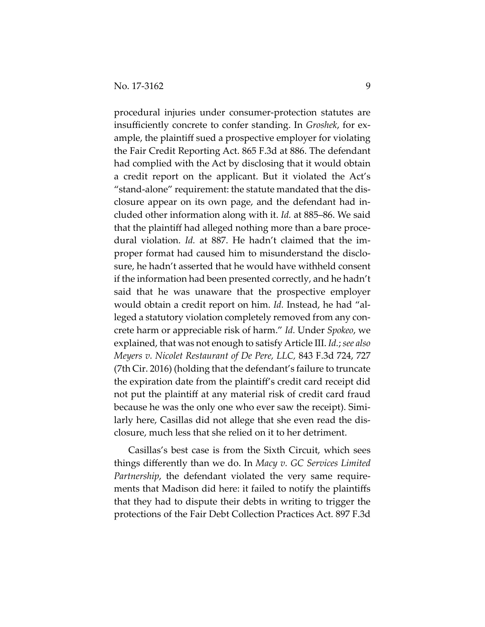procedural injuries under consumer‐protection statutes are insufficiently concrete to confer standing. In *Groshek*, for ex‐ ample, the plaintiff sued a prospective employer for violating the Fair Credit Reporting Act. 865 F.3d at 886. The defendant had complied with the Act by disclosing that it would obtain a credit report on the applicant. But it violated the Act's "stand‐alone" requirement: the statute mandated that the dis‐ closure appear on its own page, and the defendant had in‐ cluded other information along with it. *Id.* at 885–86. We said that the plaintiff had alleged nothing more than a bare proce‐ dural violation. *Id.* at 887. He hadn't claimed that the im‐ proper format had caused him to misunderstand the disclo‐ sure, he hadn't asserted that he would have withheld consent if the information had been presented correctly, and he hadn't said that he was unaware that the prospective employer would obtain a credit report on him. *Id.* Instead, he had "al‐ leged a statutory violation completely removed from any concrete harm or appreciable risk of harm." *Id.* Under *Spokeo*, we explained, that was not enough to satisfy Article III. *Id.*;*see also Meyers v. Nicolet Restaurant of De Pere, LLC,* 843 F.3d 724, 727 (7th Cir. 2016) (holding that the defendant's failure to truncate the expiration date from the plaintiff's credit card receipt did not put the plaintiff at any material risk of credit card fraud because he was the only one who ever saw the receipt). Simi‐ larly here, Casillas did not allege that she even read the dis‐ closure, much less that she relied on it to her detriment.

Casillas's best case is from the Sixth Circuit, which sees things differently than we do. In *Macy v. GC Services Limited Partnership*, the defendant violated the very same requirements that Madison did here: it failed to notify the plaintiffs that they had to dispute their debts in writing to trigger the protections of the Fair Debt Collection Practices Act. 897 F.3d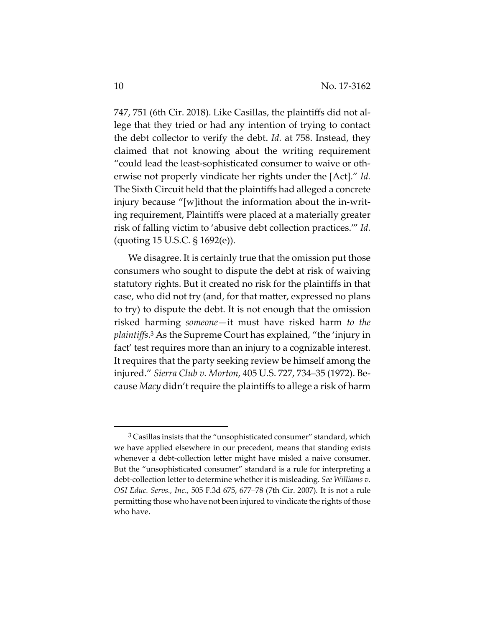747, 751 (6th Cir. 2018). Like Casillas, the plaintiffs did not al‐ lege that they tried or had any intention of trying to contact the debt collector to verify the debt. *Id.* at 758. Instead, they claimed that not knowing about the writing requirement "could lead the least‐sophisticated consumer to waive or oth‐ erwise not properly vindicate her rights under the [Act]." *Id.* The Sixth Circuit held that the plaintiffs had alleged a concrete injury because "[w]ithout the information about the in‐writ‐ ing requirement, Plaintiffs were placed at a materially greater risk of falling victim to 'abusive debt collection practices.'" *Id.* (quoting 15 U.S.C. § 1692(e)).

We disagree. It is certainly true that the omission put those consumers who sought to dispute the debt at risk of waiving statutory rights. But it created no risk for the plaintiffs in that case, who did not try (and, for that matter, expressed no plans to try) to dispute the debt. It is not enough that the omission risked harming *someone*—it must have risked harm *to the plaintiffs*. <sup>3</sup> As the Supreme Court has explained, "the 'injury in fact' test requires more than an injury to a cognizable interest. It requires that the party seeking review be himself among the injured." *Sierra Club v. Morton*, 405 U.S. 727, 734–35 (1972). Be‐ cause *Macy* didn't require the plaintiffs to allege a risk of harm

 $\overline{a}$ 

<sup>&</sup>lt;sup>3</sup> Casillas insists that the "unsophisticated consumer" standard, which we have applied elsewhere in our precedent, means that standing exists whenever a debt-collection letter might have misled a naive consumer. But the "unsophisticated consumer" standard is a rule for interpreting a debt‐collection letter to determine whether it is misleading. *See Williams v. OSI Educ. Servs., Inc*., 505 F.3d 675, 677–78 (7th Cir. 2007)*.* It is not a rule permitting those who have not been injured to vindicate the rights of those who have.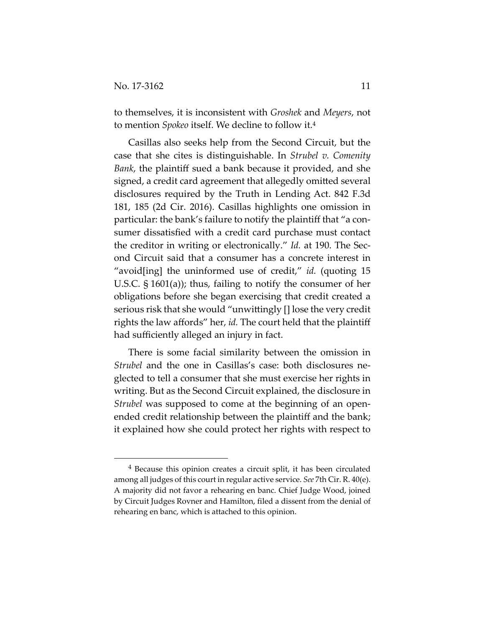$\overline{a}$ 

to themselves, it is inconsistent with *Groshek* and *Meyers*, not to mention *Spokeo* itself. We decline to follow it.4

Casillas also seeks help from the Second Circuit, but the case that she cites is distinguishable. In *Strubel v. Comenity Bank*, the plaintiff sued a bank because it provided, and she signed, a credit card agreement that allegedly omitted several disclosures required by the Truth in Lending Act. 842 F.3d 181, 185 (2d Cir. 2016). Casillas highlights one omission in particular: the bank's failure to notify the plaintiff that "a con‐ sumer dissatisfied with a credit card purchase must contact the creditor in writing or electronically." *Id.* at 190. The Sec‐ ond Circuit said that a consumer has a concrete interest in "avoid[ing] the uninformed use of credit," id. (quoting 15 U.S.C. § 1601(a)); thus, failing to notify the consumer of her obligations before she began exercising that credit created a serious risk that she would "unwittingly [] lose the very credit rights the law affords" her, *id.* The court held that the plaintiff had sufficiently alleged an injury in fact.

There is some facial similarity between the omission in *Strubel* and the one in Casillas's case: both disclosures ne‐ glected to tell a consumer that she must exercise her rights in writing. But as the Second Circuit explained, the disclosure in *Strubel* was supposed to come at the beginning of an openended credit relationship between the plaintiff and the bank; it explained how she could protect her rights with respect to

<sup>4</sup> Because this opinion creates a circuit split, it has been circulated among all judges of this court in regular active service. *See* 7th Cir. R. 40(e). A majority did not favor a rehearing en banc. Chief Judge Wood, joined by Circuit Judges Rovner and Hamilton, filed a dissent from the denial of rehearing en banc, which is attached to this opinion.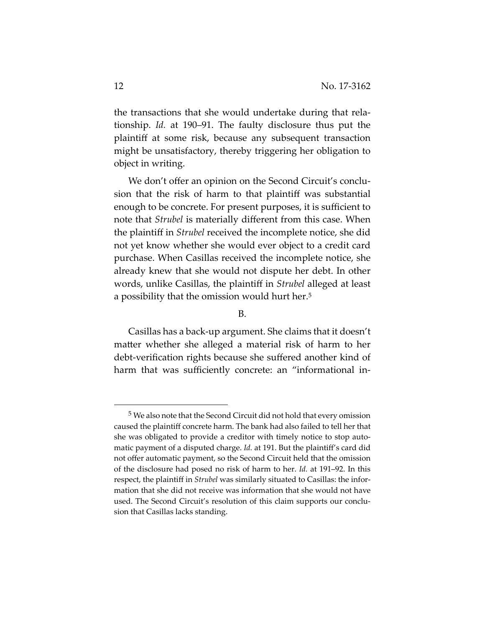the transactions that she would undertake during that rela‐ tionship. *Id.* at 190–91. The faulty disclosure thus put the plaintiff at some risk, because any subsequent transaction might be unsatisfactory, thereby triggering her obligation to object in writing.

We don't offer an opinion on the Second Circuit's conclusion that the risk of harm to that plaintiff was substantial enough to be concrete. For present purposes, it is sufficient to note that *Strubel* is materially different from this case. When the plaintiff in *Strubel* received the incomplete notice, she did not yet know whether she would ever object to a credit card purchase. When Casillas received the incomplete notice, she already knew that she would not dispute her debt. In other words, unlike Casillas, the plaintiff in *Strubel* alleged at least a possibility that the omission would hurt her.5

#### B.

Casillas has a back‐up argument. She claims that it doesn't matter whether she alleged a material risk of harm to her debt-verification rights because she suffered another kind of harm that was sufficiently concrete: an "informational in-

1

<sup>5</sup> We also note that the Second Circuit did not hold that every omission caused the plaintiff concrete harm. The bank had also failed to tell her that she was obligated to provide a creditor with timely notice to stop automatic payment of a disputed charge. *Id.* at 191. But the plaintiff's card did not offer automatic payment, so the Second Circuit held that the omission of the disclosure had posed no risk of harm to her. *Id.* at 191–92. In this respect, the plaintiff in *Strubel* was similarly situated to Casillas: the information that she did not receive was information that she would not have used. The Second Circuit's resolution of this claim supports our conclusion that Casillas lacks standing.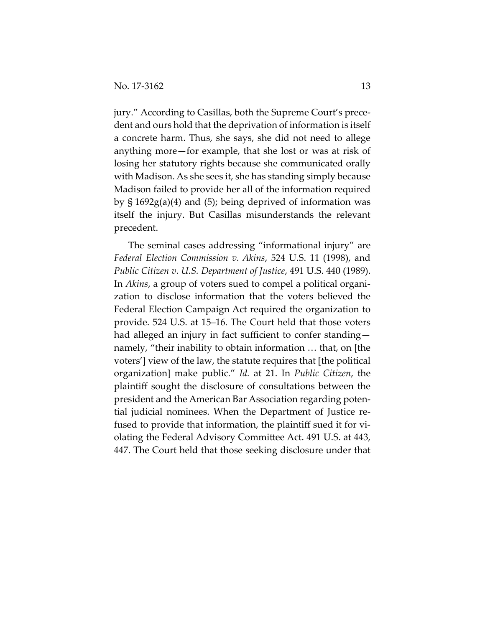jury." According to Casillas, both the Supreme Court's prece‐ dent and ours hold that the deprivation of information is itself a concrete harm. Thus, she says, she did not need to allege anything more—for example, that she lost or was at risk of losing her statutory rights because she communicated orally with Madison. As she sees it, she has standing simply because Madison failed to provide her all of the information required by § 1692g(a)(4) and (5); being deprived of information was itself the injury. But Casillas misunderstands the relevant precedent.

The seminal cases addressing "informational injury" are *Federal Election Commission v. Akins*, 524 U.S. 11 (1998), and *Public Citizen v. U.S. Department of Justice*, 491 U.S. 440 (1989). In *Akins*, a group of voters sued to compel a political organi‐ zation to disclose information that the voters believed the Federal Election Campaign Act required the organization to provide. 524 U.S. at 15–16. The Court held that those voters had alleged an injury in fact sufficient to confer standing namely, "their inability to obtain information … that, on [the voters'] view of the law, the statute requires that [the political organization] make public." *Id.* at 21. In *Public Citizen*, the plaintiff sought the disclosure of consultations between the president and the American Bar Association regarding poten‐ tial judicial nominees. When the Department of Justice re‐ fused to provide that information, the plaintiff sued it for violating the Federal Advisory Committee Act. 491 U.S. at 443, 447. The Court held that those seeking disclosure under that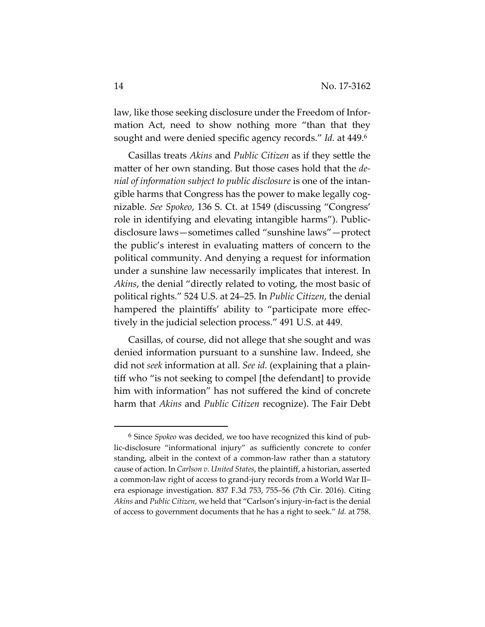law, like those seeking disclosure under the Freedom of Information Act, need to show nothing more "than that they sought and were denied specific agency records." *Id.* at 449.6

Casillas treats *Akins* and *Public Citizen* as if they settle the matter of her own standing. But those cases hold that the *de‐ nial of information subject to public disclosure* is one of the intan‐ gible harms that Congress has the power to make legally cog‐ nizable. *See Spokeo*, 136 S. Ct. at 1549 (discussing "Congress' role in identifying and elevating intangible harms"). Public‐ disclosure laws—sometimes called "sunshine laws"—protect the public's interest in evaluating matters of concern to the political community. And denying a request for information under a sunshine law necessarily implicates that interest. In *Akins*, the denial "directly related to voting, the most basic of political rights." 524 U.S. at 24–25. In *Public Citizen*, the denial hampered the plaintiffs' ability to "participate more effectively in the judicial selection process." 491 U.S. at 449.

Casillas, of course, did not allege that she sought and was denied information pursuant to a sunshine law. Indeed, she did not *seek* information at all. *See id.* (explaining that a plain‐ tiff who "is not seeking to compel [the defendant] to provide him with information" has not suffered the kind of concrete harm that *Akins* and *Public Citizen* recognize). The Fair Debt

1

<sup>6</sup> Since *Spokeo* was decided, we too have recognized this kind of pub‐ lic‐disclosure "informational injury" as sufficiently concrete to confer standing, albeit in the context of a common‐law rather than a statutory cause of action. In *Carlson v. United States*, the plaintiff, a historian, asserted a common‐law right of access to grand‐jury records from a World War II– era espionage investigation. 837 F.3d 753, 755–56 (7th Cir. 2016). Citing *Akins* and *Public Citizen*, we held that "Carlson's injury‐in‐fact is the denial of access to government documents that he has a right to seek." *Id.* at 758.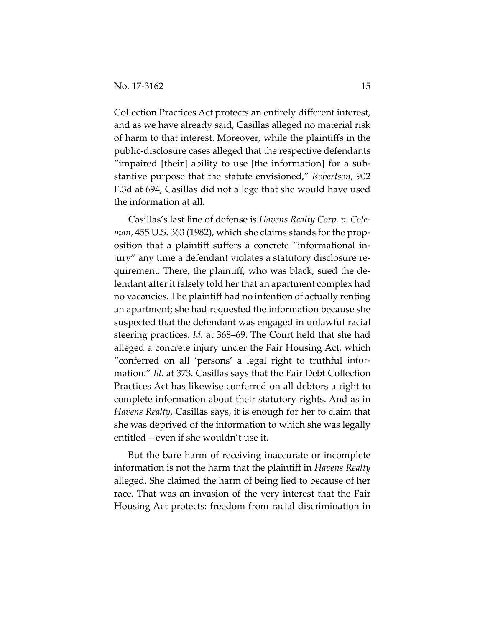Collection Practices Act protects an entirely different interest, and as we have already said, Casillas alleged no material risk of harm to that interest. Moreover, while the plaintiffs in the public‐disclosure cases alleged that the respective defendants "impaired [their] ability to use [the information] for a sub‐ stantive purpose that the statute envisioned," *Robertson*, 902 F.3d at 694, Casillas did not allege that she would have used the information at all.

Casillas's last line of defense is *Havens Realty Corp. v. Cole‐ man*, 455 U.S. 363 (1982), which she claims stands for the prop‐ osition that a plaintiff suffers a concrete "informational in‐ jury" any time a defendant violates a statutory disclosure re‐ quirement. There, the plaintiff, who was black, sued the de‐ fendant after it falsely told her that an apartment complex had no vacancies. The plaintiff had no intention of actually renting an apartment; she had requested the information because she suspected that the defendant was engaged in unlawful racial steering practices. *Id.* at 368–69. The Court held that she had alleged a concrete injury under the Fair Housing Act, which "conferred on all 'persons' a legal right to truthful infor‐ mation." *Id.* at 373. Casillas says that the Fair Debt Collection Practices Act has likewise conferred on all debtors a right to complete information about their statutory rights. And as in *Havens Realty*, Casillas says, it is enough for her to claim that she was deprived of the information to which she was legally entitled—even if she wouldn't use it.

But the bare harm of receiving inaccurate or incomplete information is not the harm that the plaintiff in *Havens Realty* alleged. She claimed the harm of being lied to because of her race. That was an invasion of the very interest that the Fair Housing Act protects: freedom from racial discrimination in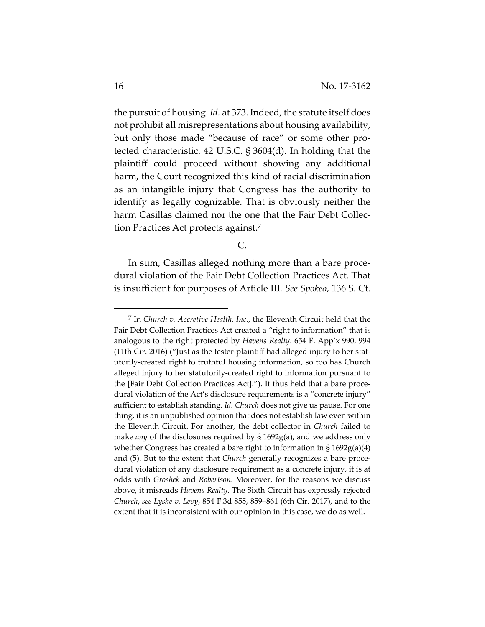the pursuit of housing. *Id.* at 373. Indeed, the statute itself does not prohibit all misrepresentations about housing availability, but only those made "because of race" or some other pro‐ tected characteristic. 42 U.S.C. § 3604(d). In holding that the plaintiff could proceed without showing any additional harm, the Court recognized this kind of racial discrimination as an intangible injury that Congress has the authority to identify as legally cognizable. That is obviously neither the harm Casillas claimed nor the one that the Fair Debt Collection Practices Act protects against.7

C.

In sum, Casillas alleged nothing more than a bare proce‐ dural violation of the Fair Debt Collection Practices Act. That is insufficient for purposes of Article III. *See Spokeo*, 136 S. Ct.

 $\overline{a}$ 

<sup>7</sup> In *Church v. Accretive Health, Inc.*, the Eleventh Circuit held that the Fair Debt Collection Practices Act created a "right to information" that is analogous to the right protected by *Havens Realty*. 654 F. App'x 990, 994 (11th Cir. 2016) ("Just as the tester‐plaintiff had alleged injury to her stat‐ utorily‐created right to truthful housing information, so too has Church alleged injury to her statutorily‐created right to information pursuant to the [Fair Debt Collection Practices Act]."). It thus held that a bare proce‐ dural violation of the Act's disclosure requirements is a "concrete injury" sufficient to establish standing. *Id. Church* does not give us pause. For one thing, it is an unpublished opinion that does not establish law even within the Eleventh Circuit. For another, the debt collector in *Church* failed to make *any* of the disclosures required by § 1692g(a), and we address only whether Congress has created a bare right to information in § 1692g(a)(4) and (5). But to the extent that *Church* generally recognizes a bare procedural violation of any disclosure requirement as a concrete injury, it is at odds with *Groshek* and *Robertson*. Moreover, for the reasons we discuss above, it misreads *Havens Realty*. The Sixth Circuit has expressly rejected *Church*, *see Lyshe v. Levy*, 854 F.3d 855, 859–861 (6th Cir. 2017), and to the extent that it is inconsistent with our opinion in this case, we do as well.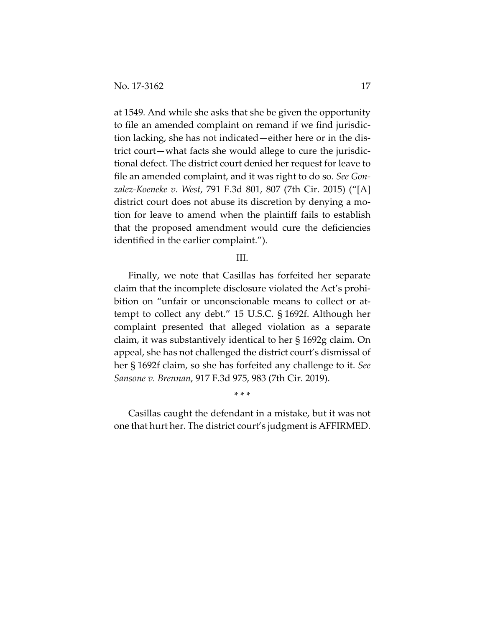at 1549*.* And while she asks that she be given the opportunity to file an amended complaint on remand if we find jurisdic‐ tion lacking, she has not indicated—either here or in the dis‐ trict court—what facts she would allege to cure the jurisdic‐ tional defect. The district court denied her request for leave to file an amended complaint, and it was right to do so. *See Gon‐ zalez‐Koeneke v. West*, 791 F.3d 801, 807 (7th Cir. 2015) ("[A] district court does not abuse its discretion by denying a mo‐ tion for leave to amend when the plaintiff fails to establish that the proposed amendment would cure the deficiencies identified in the earlier complaint.").

### III.

Finally, we note that Casillas has forfeited her separate claim that the incomplete disclosure violated the Act's prohi‐ bition on "unfair or unconscionable means to collect or attempt to collect any debt." 15 U.S.C. § 1692f. Although her complaint presented that alleged violation as a separate claim, it was substantively identical to her § 1692g claim. On appeal, she has not challenged the district court's dismissal of her § 1692f claim, so she has forfeited any challenge to it. *See Sansone v. Brennan*, 917 F.3d 975, 983 (7th Cir. 2019).

Casillas caught the defendant in a mistake, but it was not one that hurt her. The district court's judgment is AFFIRMED.

\* \* \*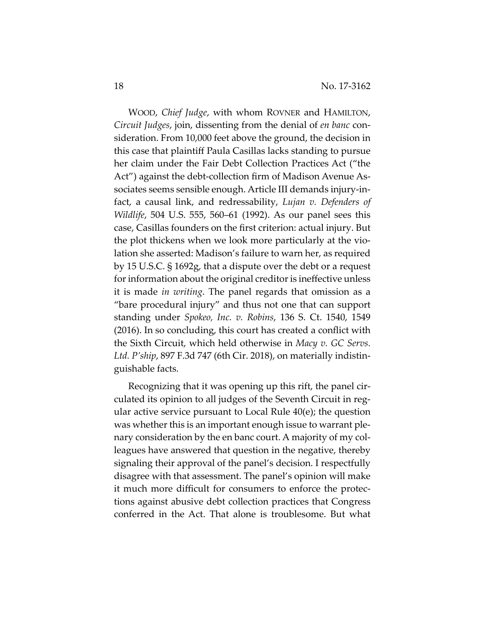WOOD, *Chief Judge*, with whom ROVNER and HAMILTON, *Circuit Judges*, join, dissenting from the denial of *en banc* con‐ sideration. From 10,000 feet above the ground, the decision in this case that plaintiff Paula Casillas lacks standing to pursue her claim under the Fair Debt Collection Practices Act ("the Act") against the debt-collection firm of Madison Avenue Associates seems sensible enough. Article III demands injury‐in‐ fact, a causal link, and redressability, *Lujan v. Defenders of Wildlife*, 504 U.S. 555, 560–61 (1992). As our panel sees this case, Casillas founders on the first criterion: actual injury. But the plot thickens when we look more particularly at the vio‐ lation she asserted: Madison's failure to warn her, as required by 15 U.S.C. § 1692g, that a dispute over the debt or a request for information about the original creditor is ineffective unless it is made *in writing*. The panel regards that omission as a "bare procedural injury" and thus not one that can support standing under *Spokeo, Inc. v. Robins*, 136 S. Ct. 1540, 1549 (2016). In so concluding, this court has created a conflict with the Sixth Circuit, which held otherwise in *Macy v. GC Servs. Ltd. P'ship*, 897 F.3d 747 (6th Cir. 2018), on materially indistin‐ guishable facts.

Recognizing that it was opening up this rift, the panel cir‐ culated its opinion to all judges of the Seventh Circuit in reg‐ ular active service pursuant to Local Rule 40(e); the question was whether this is an important enough issue to warrant ple‐ nary consideration by the en banc court. A majority of my colleagues have answered that question in the negative, thereby signaling their approval of the panel's decision. I respectfully disagree with that assessment. The panel's opinion will make it much more difficult for consumers to enforce the protec‐ tions against abusive debt collection practices that Congress conferred in the Act. That alone is troublesome. But what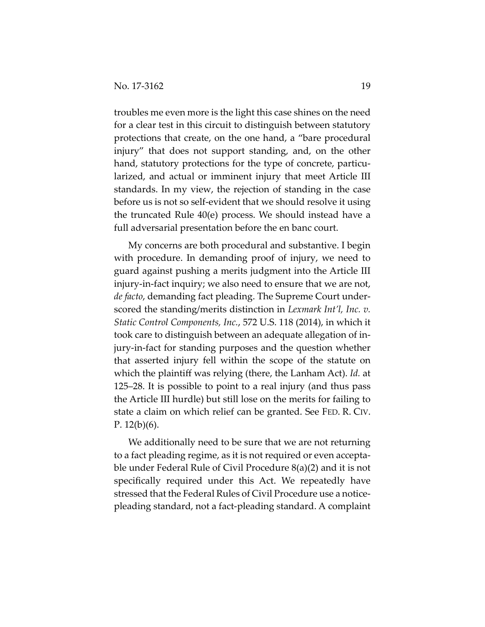troubles me even more is the light this case shines on the need for a clear test in this circuit to distinguish between statutory protections that create, on the one hand, a "bare procedural injury" that does not support standing, and, on the other hand, statutory protections for the type of concrete, particularized, and actual or imminent injury that meet Article III standards. In my view, the rejection of standing in the case before us is not so self‐evident that we should resolve it using the truncated Rule 40(e) process. We should instead have a full adversarial presentation before the en banc court.

My concerns are both procedural and substantive. I begin with procedure. In demanding proof of injury, we need to guard against pushing a merits judgment into the Article III injury‐in‐fact inquiry; we also need to ensure that we are not, *de facto*, demanding fact pleading. The Supreme Court under‐ scored the standing/merits distinction in *Lexmark Int'l, Inc. v. Static Control Components, Inc.*, 572 U.S. 118 (2014), in which it took care to distinguish between an adequate allegation of in‐ jury‐in‐fact for standing purposes and the question whether that asserted injury fell within the scope of the statute on which the plaintiff was relying (there, the Lanham Act). *Id.* at 125–28. It is possible to point to a real injury (and thus pass the Article III hurdle) but still lose on the merits for failing to state a claim on which relief can be granted. See FED. R. CIV. P.  $12(b)(6)$ .

We additionally need to be sure that we are not returning to a fact pleading regime, as it is not required or even accepta‐ ble under Federal Rule of Civil Procedure 8(a)(2) and it is not specifically required under this Act. We repeatedly have stressed that the Federal Rules of Civil Procedure use a notice‐ pleading standard, not a fact‐pleading standard. A complaint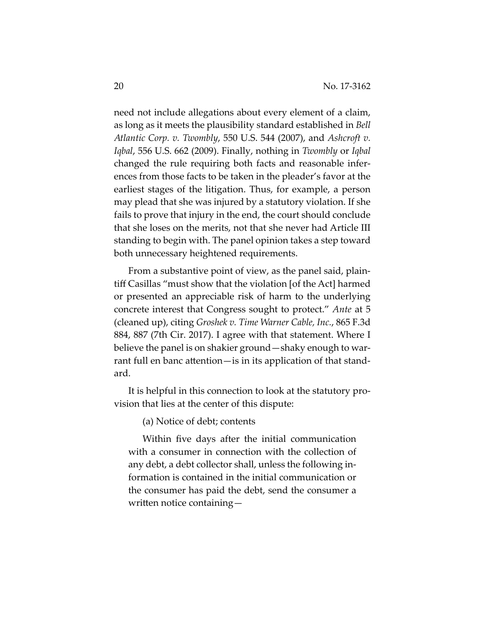need not include allegations about every element of a claim, as long as it meets the plausibility standard established in *Bell Atlantic Corp. v. Twombly*, 550 U.S. 544 (2007), and *Ashcroft v. Iqbal*, 556 U.S. 662 (2009). Finally, nothing in *Twombly* or *Iqbal* changed the rule requiring both facts and reasonable infer‐ ences from those facts to be taken in the pleader's favor at the earliest stages of the litigation. Thus, for example, a person may plead that she was injured by a statutory violation. If she fails to prove that injury in the end, the court should conclude that she loses on the merits, not that she never had Article III standing to begin with. The panel opinion takes a step toward both unnecessary heightened requirements.

From a substantive point of view, as the panel said, plaintiff Casillas "must show that the violation [of the Act] harmed or presented an appreciable risk of harm to the underlying concrete interest that Congress sought to protect." *Ante* at 5 (cleaned up), citing *Groshek v. Time Warner Cable, Inc.*, 865 F.3d 884, 887 (7th Cir. 2017). I agree with that statement. Where I believe the panel is on shakier ground—shaky enough to war‐ rant full en banc attention—is in its application of that stand‐ ard.

It is helpful in this connection to look at the statutory pro‐ vision that lies at the center of this dispute:

(a) Notice of debt; contents

Within five days after the initial communication with a consumer in connection with the collection of any debt, a debt collector shall, unless the following in‐ formation is contained in the initial communication or the consumer has paid the debt, send the consumer a written notice containing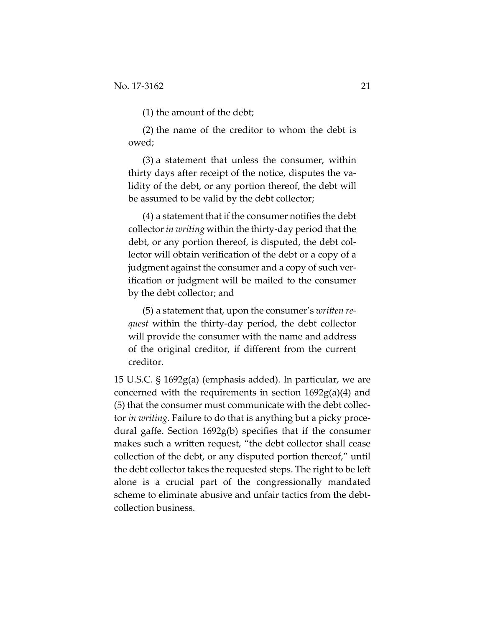(1) the amount of the debt;

(2) the name of the creditor to whom the debt is owed;

(3) a statement that unless the consumer, within thirty days after receipt of the notice, disputes the va‐ lidity of the debt, or any portion thereof, the debt will be assumed to be valid by the debt collector;

(4) a statement that if the consumer notifies the debt collector*in writing* within the thirty‐day period that the debt, or any portion thereof, is disputed, the debt col‐ lector will obtain verification of the debt or a copy of a judgment against the consumer and a copy of such ver‐ ification or judgment will be mailed to the consumer by the debt collector; and

(5) a statement that, upon the consumer's *written request* within the thirty‐day period, the debt collector will provide the consumer with the name and address of the original creditor, if different from the current creditor.

15 U.S.C. § 1692g(a) (emphasis added). In particular, we are concerned with the requirements in section 1692g(a)(4) and (5) that the consumer must communicate with the debt collec‐ tor *in writing*. Failure to do that is anything but a picky proce‐ dural gaffe. Section 1692g(b) specifies that if the consumer makes such a written request, "the debt collector shall cease collection of the debt, or any disputed portion thereof," until the debt collector takes the requested steps. The right to be left alone is a crucial part of the congressionally mandated scheme to eliminate abusive and unfair tactics from the debt‐ collection business.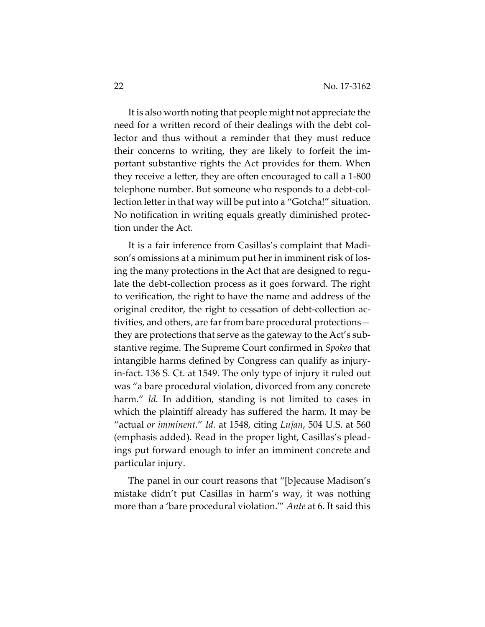It is also worth noting that people might not appreciate the need for a written record of their dealings with the debt collector and thus without a reminder that they must reduce their concerns to writing, they are likely to forfeit the im‐ portant substantive rights the Act provides for them. When they receive a letter, they are often encouraged to call a 1‐800 telephone number. But someone who responds to a debt‐col‐ lection letter in that way will be put into a "Gotcha!" situation. No notification in writing equals greatly diminished protec‐ tion under the Act.

It is a fair inference from Casillas's complaint that Madi‐ son's omissions at a minimum put her in imminent risk of losing the many protections in the Act that are designed to regulate the debt-collection process as it goes forward. The right to verification, the right to have the name and address of the original creditor, the right to cessation of debt-collection activities, and others, are far from bare procedural protections they are protections that serve as the gateway to the Act's sub‐ stantive regime. The Supreme Court confirmed in *Spokeo* that intangible harms defined by Congress can qualify as injury‐ in‐fact. 136 S. Ct. at 1549. The only type of injury it ruled out was "a bare procedural violation, divorced from any concrete harm." *Id.* In addition, standing is not limited to cases in which the plaintiff already has suffered the harm. It may be "actual *or imminent*." *Id.* at 1548, citing *Lujan*, 504 U.S. at 560 (emphasis added). Read in the proper light, Casillas's plead‐ ings put forward enough to infer an imminent concrete and particular injury.

The panel in our court reasons that "[b]ecause Madison's mistake didn't put Casillas in harm's way, it was nothing more than a 'bare procedural violation.'" *Ante* at 6. It said this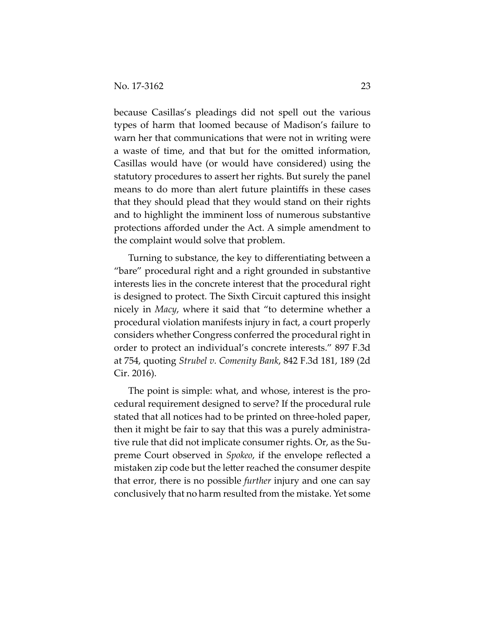because Casillas's pleadings did not spell out the various types of harm that loomed because of Madison's failure to warn her that communications that were not in writing were a waste of time, and that but for the omitted information, Casillas would have (or would have considered) using the statutory procedures to assert her rights. But surely the panel means to do more than alert future plaintiffs in these cases that they should plead that they would stand on their rights and to highlight the imminent loss of numerous substantive protections afforded under the Act. A simple amendment to the complaint would solve that problem.

Turning to substance, the key to differentiating between a "bare" procedural right and a right grounded in substantive interests lies in the concrete interest that the procedural right is designed to protect. The Sixth Circuit captured this insight nicely in *Macy*, where it said that "to determine whether a procedural violation manifests injury in fact, a court properly considers whether Congress conferred the procedural right in order to protect an individual's concrete interests." 897 F.3d at 754, quoting *Strubel v. Comenity Bank*, 842 F.3d 181, 189 (2d Cir. 2016).

The point is simple: what, and whose, interest is the pro‐ cedural requirement designed to serve? If the procedural rule stated that all notices had to be printed on three‐holed paper, then it might be fair to say that this was a purely administra‐ tive rule that did not implicate consumer rights. Or, as the Su‐ preme Court observed in *Spokeo*, if the envelope reflected a mistaken zip code but the letter reached the consumer despite that error, there is no possible *further* injury and one can say conclusively that no harm resulted from the mistake. Yet some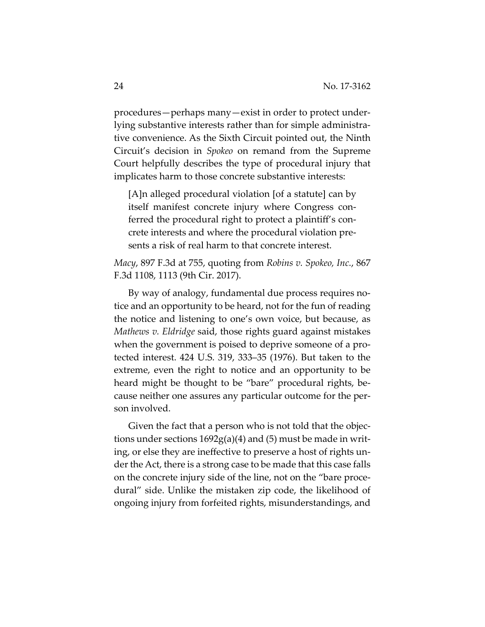procedures—perhaps many—exist in order to protect under‐ lying substantive interests rather than for simple administra‐ tive convenience. As the Sixth Circuit pointed out, the Ninth Circuit's decision in *Spokeo* on remand from the Supreme Court helpfully describes the type of procedural injury that implicates harm to those concrete substantive interests:

[A]n alleged procedural violation [of a statute] can by itself manifest concrete injury where Congress con‐ ferred the procedural right to protect a plaintiff's concrete interests and where the procedural violation pre‐ sents a risk of real harm to that concrete interest.

*Macy*, 897 F.3d at 755, quoting from *Robins v. Spokeo, Inc.*, 867 F.3d 1108, 1113 (9th Cir. 2017).

By way of analogy, fundamental due process requires no‐ tice and an opportunity to be heard, not for the fun of reading the notice and listening to one's own voice, but because, as *Mathews v. Eldridge* said, those rights guard against mistakes when the government is poised to deprive someone of a protected interest. 424 U.S. 319, 333–35 (1976). But taken to the extreme, even the right to notice and an opportunity to be heard might be thought to be "bare" procedural rights, because neither one assures any particular outcome for the per‐ son involved.

Given the fact that a person who is not told that the objec‐ tions under sections  $1692g(a)(4)$  and  $(5)$  must be made in writing, or else they are ineffective to preserve a host of rights un‐ der the Act, there is a strong case to be made that this case falls on the concrete injury side of the line, not on the "bare proce‐ dural" side. Unlike the mistaken zip code, the likelihood of ongoing injury from forfeited rights, misunderstandings, and